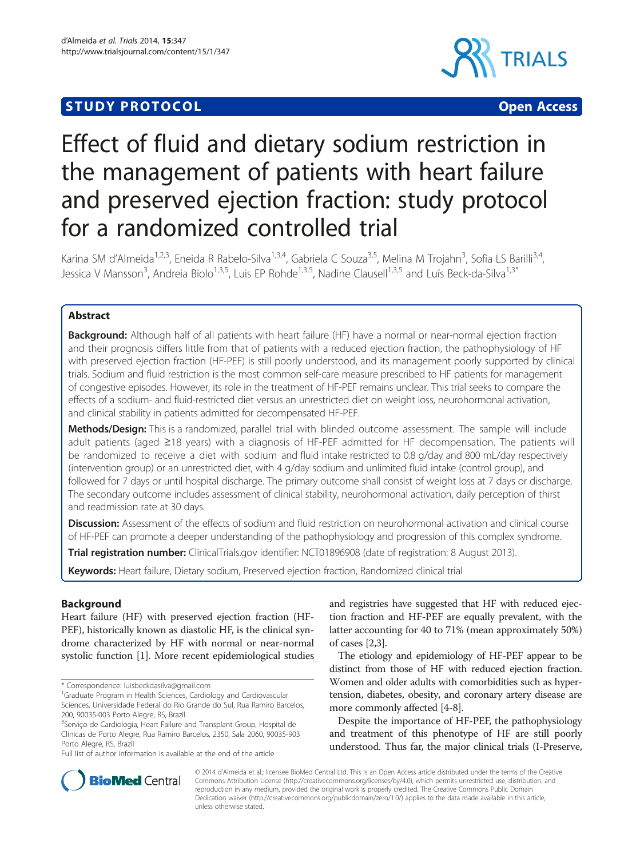# **STUDY PROTOCOL CONSUMING THE CONSUMING OPEN ACCESS**



# Effect of fluid and dietary sodium restriction in the management of patients with heart failure and preserved ejection fraction: study protocol for a randomized controlled trial

Karina SM d'Almeida<sup>1,2,3</sup>, Eneida R Rabelo-Silva<sup>1,3,4</sup>, Gabriela C Souza<sup>3,5</sup>, Melina M Trojahn<sup>3</sup>, Sofia LS Barilli<sup>3,4</sup>, Jessica V Mansson<sup>3</sup>, Andreia Biolo<sup>1,3,5</sup>, Luis EP Rohde<sup>1,3,5</sup>, Nadine Clausell<sup>1,3,5</sup> and Luís Beck-da-Silva<sup>1,3\*</sup>

# Abstract

Background: Although half of all patients with heart failure (HF) have a normal or near-normal ejection fraction and their prognosis differs little from that of patients with a reduced ejection fraction, the pathophysiology of HF with preserved ejection fraction (HF-PEF) is still poorly understood, and its management poorly supported by clinical trials. Sodium and fluid restriction is the most common self-care measure prescribed to HF patients for management of congestive episodes. However, its role in the treatment of HF-PEF remains unclear. This trial seeks to compare the effects of a sodium- and fluid-restricted diet versus an unrestricted diet on weight loss, neurohormonal activation, and clinical stability in patients admitted for decompensated HF-PEF.

Methods/Design: This is a randomized, parallel trial with blinded outcome assessment. The sample will include adult patients (aged ≥18 years) with a diagnosis of HF-PEF admitted for HF decompensation. The patients will be randomized to receive a diet with sodium and fluid intake restricted to 0.8 g/day and 800 mL/day respectively (intervention group) or an unrestricted diet, with 4 g/day sodium and unlimited fluid intake (control group), and followed for 7 days or until hospital discharge. The primary outcome shall consist of weight loss at 7 days or discharge. The secondary outcome includes assessment of clinical stability, neurohormonal activation, daily perception of thirst and readmission rate at 30 days.

Discussion: Assessment of the effects of sodium and fluid restriction on neurohormonal activation and clinical course of HF-PEF can promote a deeper understanding of the pathophysiology and progression of this complex syndrome.

Trial registration number: ClinicalTrials.gov identifier: [NCT01896908](https://register.clinicaltrials.gov/prs/app/action/SelectProtocol?sid=S000419T&selectaction=View&uid=U0000EY1&ts=3&cx=1ps0d7) (date of registration: 8 August 2013).

Keywords: Heart failure, Dietary sodium, Preserved ejection fraction, Randomized clinical trial

# Background

Heart failure (HF) with preserved ejection fraction (HF-PEF), historically known as diastolic HF, is the clinical syndrome characterized by HF with normal or near-normal systolic function [\[1](#page-4-0)]. More recent epidemiological studies

<sup>1</sup>Graduate Program in Health Sciences, Cardiology and Cardiovascular Sciences, Universidade Federal do Rio Grande do Sul, Rua Ramiro Barcelos, 200, 90035-003 Porto Alegre, RS, Brazil

<sup>3</sup>Serviço de Cardiologia, Heart Failure and Transplant Group, Hospital de Clínicas de Porto Alegre, Rua Ramiro Barcelos, 2350, Sala 2060, 90035-903 Porto Alegre, RS, Brazil

Full list of author information is available at the end of the article

and registries have suggested that HF with reduced ejection fraction and HF-PEF are equally prevalent, with the latter accounting for 40 to 71% (mean approximately 50%) of cases [\[2,3](#page-4-0)].

The etiology and epidemiology of HF-PEF appear to be distinct from those of HF with reduced ejection fraction. Women and older adults with comorbidities such as hypertension, diabetes, obesity, and coronary artery disease are more commonly affected [[4-8\]](#page-4-0).

Despite the importance of HF-PEF, the pathophysiology and treatment of this phenotype of HF are still poorly understood. Thus far, the major clinical trials (I-Preserve,



© 2014 d'Almeida et al.; licensee BioMed Central Ltd. This is an Open Access article distributed under the terms of the Creative Commons Attribution License [\(http://creativecommons.org/licenses/by/4.0\)](http://creativecommons.org/licenses/by/4.0), which permits unrestricted use, distribution, and reproduction in any medium, provided the original work is properly credited. The Creative Commons Public Domain Dedication waiver [\(http://creativecommons.org/publicdomain/zero/1.0/](http://creativecommons.org/publicdomain/zero/1.0/)) applies to the data made available in this article, unless otherwise stated.

<sup>\*</sup> Correspondence: [luisbeckdasilva@gmail.com](mailto:luisbeckdasilva@gmail.com) <sup>1</sup>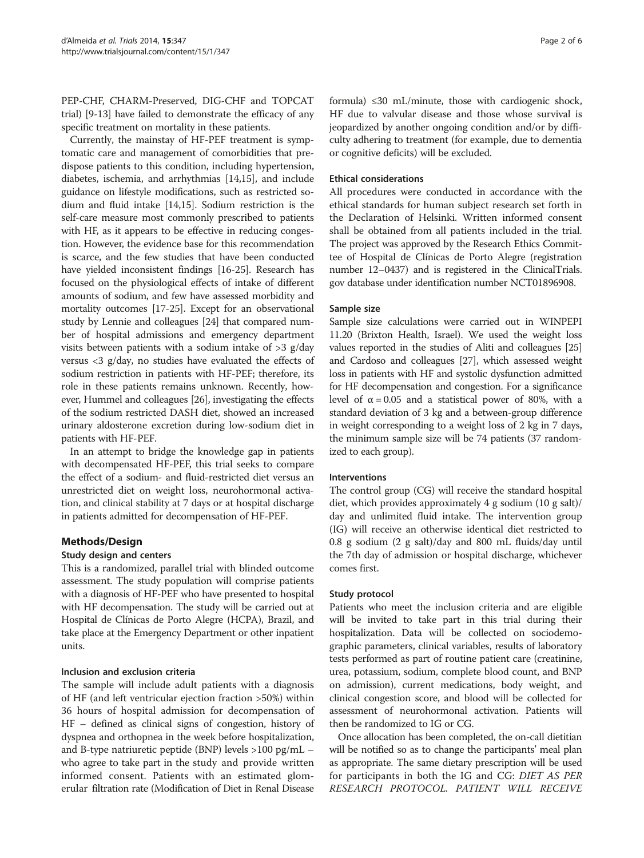PEP-CHF, CHARM-Preserved, DIG-CHF and TOPCAT trial) [\[9-13\]](#page-5-0) have failed to demonstrate the efficacy of any specific treatment on mortality in these patients.

Currently, the mainstay of HF-PEF treatment is symptomatic care and management of comorbidities that predispose patients to this condition, including hypertension, diabetes, ischemia, and arrhythmias [\[14,15\]](#page-5-0), and include guidance on lifestyle modifications, such as restricted sodium and fluid intake [[14,15\]](#page-5-0). Sodium restriction is the self-care measure most commonly prescribed to patients with HF, as it appears to be effective in reducing congestion. However, the evidence base for this recommendation is scarce, and the few studies that have been conducted have yielded inconsistent findings [\[16-25](#page-5-0)]. Research has focused on the physiological effects of intake of different amounts of sodium, and few have assessed morbidity and mortality outcomes [[17](#page-5-0)-[25\]](#page-5-0). Except for an observational study by Lennie and colleagues [\[24\]](#page-5-0) that compared number of hospital admissions and emergency department visits between patients with a sodium intake of  $>3$  g/day versus <3 g/day, no studies have evaluated the effects of sodium restriction in patients with HF-PEF; therefore, its role in these patients remains unknown. Recently, however, Hummel and colleagues [[26](#page-5-0)], investigating the effects of the sodium restricted DASH diet, showed an increased urinary aldosterone excretion during low-sodium diet in patients with HF-PEF.

In an attempt to bridge the knowledge gap in patients with decompensated HF-PEF, this trial seeks to compare the effect of a sodium- and fluid-restricted diet versus an unrestricted diet on weight loss, neurohormonal activation, and clinical stability at 7 days or at hospital discharge in patients admitted for decompensation of HF-PEF.

# Methods/Design

# Study design and centers

This is a randomized, parallel trial with blinded outcome assessment. The study population will comprise patients with a diagnosis of HF-PEF who have presented to hospital with HF decompensation. The study will be carried out at Hospital de Clínicas de Porto Alegre (HCPA), Brazil, and take place at the Emergency Department or other inpatient units.

# Inclusion and exclusion criteria

The sample will include adult patients with a diagnosis of HF (and left ventricular ejection fraction >50%) within 36 hours of hospital admission for decompensation of HF – defined as clinical signs of congestion, history of dyspnea and orthopnea in the week before hospitalization, and B-type natriuretic peptide (BNP) levels >100 pg/mL – who agree to take part in the study and provide written informed consent. Patients with an estimated glomerular filtration rate (Modification of Diet in Renal Disease formula)  $\leq 30$  mL/minute, those with cardiogenic shock, HF due to valvular disease and those whose survival is jeopardized by another ongoing condition and/or by difficulty adhering to treatment (for example, due to dementia or cognitive deficits) will be excluded.

# Ethical considerations

All procedures were conducted in accordance with the ethical standards for human subject research set forth in the Declaration of Helsinki. Written informed consent shall be obtained from all patients included in the trial. The project was approved by the Research Ethics Committee of Hospital de Clínicas de Porto Alegre (registration number 12–0437) and is registered in the ClinicalTrials. gov database under identification number NCT01896908.

# Sample size

Sample size calculations were carried out in WINPEPI 11.20 (Brixton Health, Israel). We used the weight loss values reported in the studies of Aliti and colleagues [[25](#page-5-0)] and Cardoso and colleagues [\[27\]](#page-5-0), which assessed weight loss in patients with HF and systolic dysfunction admitted for HF decompensation and congestion. For a significance level of  $α = 0.05$  and a statistical power of 80%, with a standard deviation of 3 kg and a between-group difference in weight corresponding to a weight loss of 2 kg in 7 days, the minimum sample size will be 74 patients (37 randomized to each group).

#### Interventions

The control group (CG) will receive the standard hospital diet, which provides approximately 4 g sodium (10 g salt)/ day and unlimited fluid intake. The intervention group (IG) will receive an otherwise identical diet restricted to 0.8 g sodium (2 g salt)/day and 800 mL fluids/day until the 7th day of admission or hospital discharge, whichever comes first.

#### Study protocol

Patients who meet the inclusion criteria and are eligible will be invited to take part in this trial during their hospitalization. Data will be collected on sociodemographic parameters, clinical variables, results of laboratory tests performed as part of routine patient care (creatinine, urea, potassium, sodium, complete blood count, and BNP on admission), current medications, body weight, and clinical congestion score, and blood will be collected for assessment of neurohormonal activation. Patients will then be randomized to IG or CG.

Once allocation has been completed, the on-call dietitian will be notified so as to change the participants' meal plan as appropriate. The same dietary prescription will be used for participants in both the IG and CG: DIET AS PER RESEARCH PROTOCOL. PATIENT WILL RECEIVE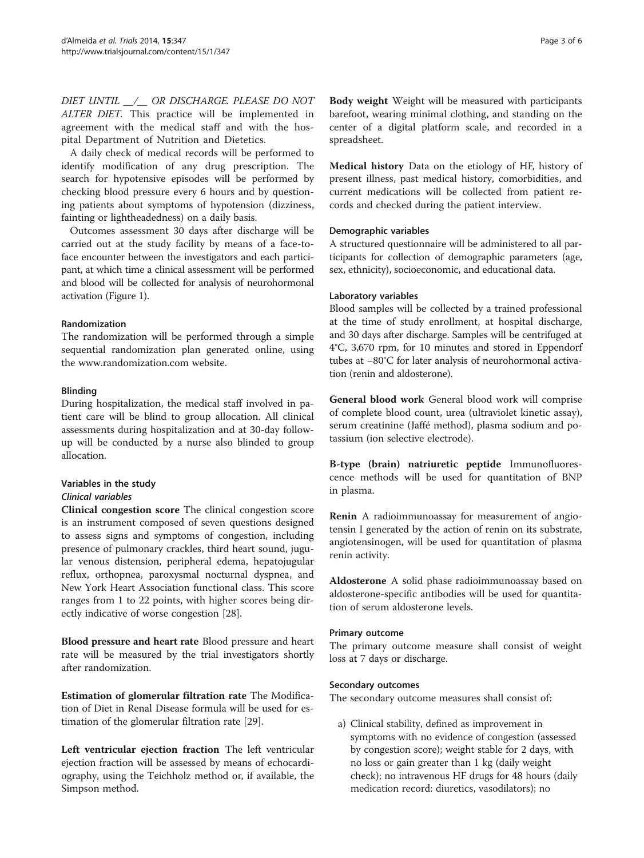DIET UNTIL \_/\_ OR DISCHARGE. PLEASE DO NOT ALTER DIET. This practice will be implemented in agreement with the medical staff and with the hospital Department of Nutrition and Dietetics.

A daily check of medical records will be performed to identify modification of any drug prescription. The search for hypotensive episodes will be performed by checking blood pressure every 6 hours and by questioning patients about symptoms of hypotension (dizziness, fainting or lightheadedness) on a daily basis.

Outcomes assessment 30 days after discharge will be carried out at the study facility by means of a face-toface encounter between the investigators and each participant, at which time a clinical assessment will be performed and blood will be collected for analysis of neurohormonal activation (Figure [1\)](#page-3-0).

# Randomization

The randomization will be performed through a simple sequential randomization plan generated online, using the [www.randomization.com](http://www.randomization.com) website.

#### Blinding

During hospitalization, the medical staff involved in patient care will be blind to group allocation. All clinical assessments during hospitalization and at 30-day followup will be conducted by a nurse also blinded to group allocation.

# Variables in the study Clinical variables

Clinical congestion score The clinical congestion score is an instrument composed of seven questions designed to assess signs and symptoms of congestion, including presence of pulmonary crackles, third heart sound, jugular venous distension, peripheral edema, hepatojugular reflux, orthopnea, paroxysmal nocturnal dyspnea, and New York Heart Association functional class. This score ranges from 1 to 22 points, with higher scores being directly indicative of worse congestion [[28\]](#page-5-0).

Blood pressure and heart rate Blood pressure and heart rate will be measured by the trial investigators shortly after randomization.

Estimation of glomerular filtration rate The Modification of Diet in Renal Disease formula will be used for estimation of the glomerular filtration rate [[29](#page-5-0)].

Left ventricular ejection fraction The left ventricular ejection fraction will be assessed by means of echocardiography, using the Teichholz method or, if available, the Simpson method.

Body weight Weight will be measured with participants barefoot, wearing minimal clothing, and standing on the center of a digital platform scale, and recorded in a spreadsheet.

Medical history Data on the etiology of HF, history of present illness, past medical history, comorbidities, and current medications will be collected from patient records and checked during the patient interview.

# Demographic variables

A structured questionnaire will be administered to all participants for collection of demographic parameters (age, sex, ethnicity), socioeconomic, and educational data.

# Laboratory variables

Blood samples will be collected by a trained professional at the time of study enrollment, at hospital discharge, and 30 days after discharge. Samples will be centrifuged at 4°C, 3,670 rpm, for 10 minutes and stored in Eppendorf tubes at −80°C for later analysis of neurohormonal activation (renin and aldosterone).

General blood work General blood work will comprise of complete blood count, urea (ultraviolet kinetic assay), serum creatinine (Jaffé method), plasma sodium and potassium (ion selective electrode).

B-type (brain) natriuretic peptide Immunofluorescence methods will be used for quantitation of BNP in plasma.

Renin A radioimmunoassay for measurement of angiotensin I generated by the action of renin on its substrate, angiotensinogen, will be used for quantitation of plasma renin activity.

Aldosterone A solid phase radioimmunoassay based on aldosterone-specific antibodies will be used for quantitation of serum aldosterone levels.

#### Primary outcome

The primary outcome measure shall consist of weight loss at 7 days or discharge.

# Secondary outcomes

The secondary outcome measures shall consist of:

a) Clinical stability, defined as improvement in symptoms with no evidence of congestion (assessed by congestion score); weight stable for 2 days, with no loss or gain greater than 1 kg (daily weight check); no intravenous HF drugs for 48 hours (daily medication record: diuretics, vasodilators); no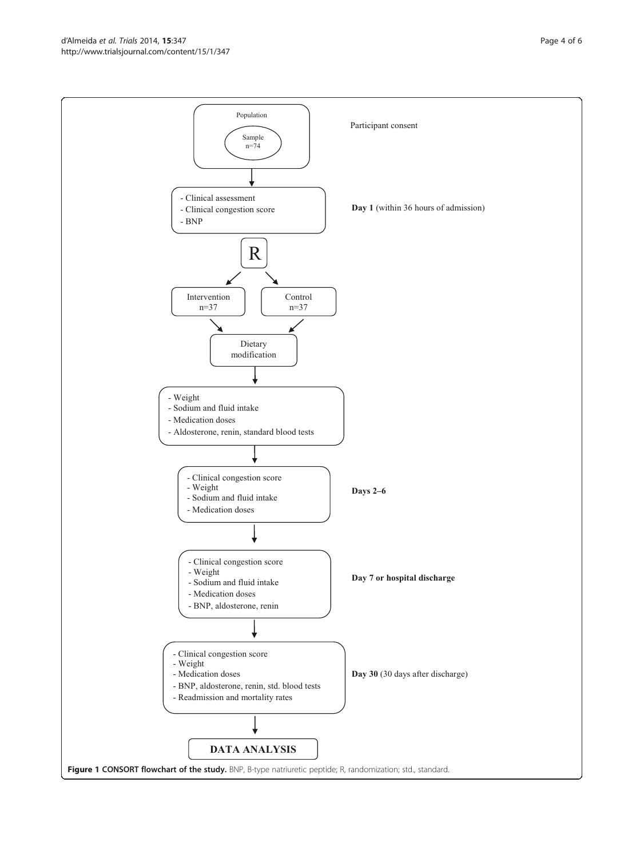<span id="page-3-0"></span>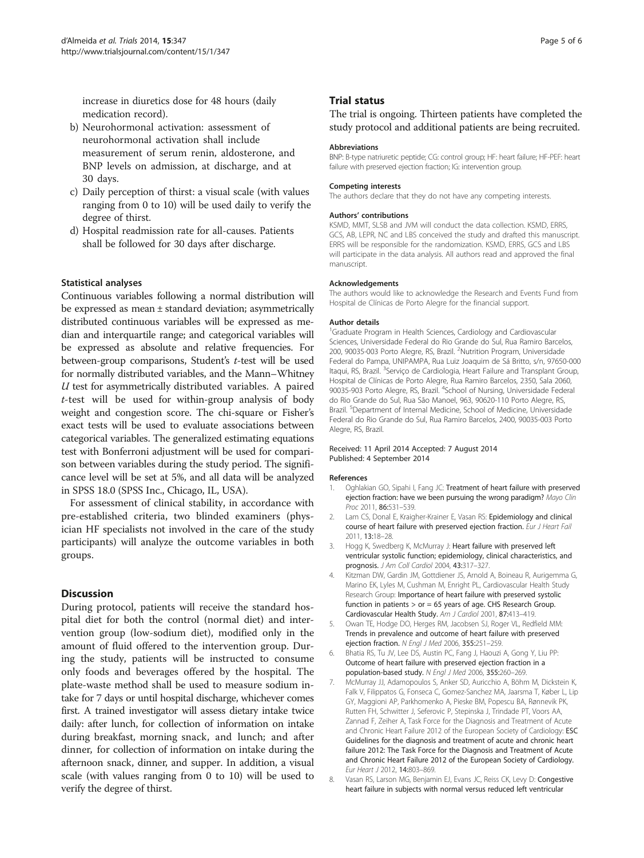<span id="page-4-0"></span>increase in diuretics dose for 48 hours (daily medication record).

- b) Neurohormonal activation: assessment of neurohormonal activation shall include measurement of serum renin, aldosterone, and BNP levels on admission, at discharge, and at 30 days.
- c) Daily perception of thirst: a visual scale (with values ranging from 0 to 10) will be used daily to verify the degree of thirst.
- d) Hospital readmission rate for all-causes. Patients shall be followed for 30 days after discharge.

#### Statistical analyses

Continuous variables following a normal distribution will be expressed as mean ± standard deviation; asymmetrically distributed continuous variables will be expressed as median and interquartile range; and categorical variables will be expressed as absolute and relative frequencies. For between-group comparisons, Student's t-test will be used for normally distributed variables, and the Mann–Whitney U test for asymmetrically distributed variables. A paired t-test will be used for within-group analysis of body weight and congestion score. The chi-square or Fisher's exact tests will be used to evaluate associations between categorical variables. The generalized estimating equations test with Bonferroni adjustment will be used for comparison between variables during the study period. The significance level will be set at 5%, and all data will be analyzed in SPSS 18.0 (SPSS Inc., Chicago, IL, USA).

For assessment of clinical stability, in accordance with pre-established criteria, two blinded examiners (physician HF specialists not involved in the care of the study participants) will analyze the outcome variables in both groups.

#### **Discussion**

During protocol, patients will receive the standard hospital diet for both the control (normal diet) and intervention group (low-sodium diet), modified only in the amount of fluid offered to the intervention group. During the study, patients will be instructed to consume only foods and beverages offered by the hospital. The plate-waste method shall be used to measure sodium intake for 7 days or until hospital discharge, whichever comes first. A trained investigator will assess dietary intake twice daily: after lunch, for collection of information on intake during breakfast, morning snack, and lunch; and after dinner, for collection of information on intake during the afternoon snack, dinner, and supper. In addition, a visual scale (with values ranging from 0 to 10) will be used to verify the degree of thirst.

### Trial status

The trial is ongoing. Thirteen patients have completed the study protocol and additional patients are being recruited.

#### **Abbreviations**

BNP: B-type natriuretic peptide; CG: control group; HF: heart failure; HF-PEF: heart failure with preserved ejection fraction; IG: intervention group.

#### Competing interests

The authors declare that they do not have any competing interests.

#### Authors' contributions

KSMD, MMT, SLSB and JVM will conduct the data collection. KSMD, ERRS, GCS, AB, LEPR, NC and LBS conceived the study and drafted this manuscript. ERRS will be responsible for the randomization. KSMD, ERRS, GCS and LBS will participate in the data analysis. All authors read and approved the final manuscript.

#### Acknowledgements

The authors would like to acknowledge the Research and Events Fund from Hospital de Clínicas de Porto Alegre for the financial support.

#### Author details

<sup>1</sup>Graduate Program in Health Sciences, Cardiology and Cardiovascular Sciences, Universidade Federal do Rio Grande do Sul, Rua Ramiro Barcelos, 200, 90035-003 Porto Alegre, RS, Brazil. <sup>2</sup>Nutrition Program, Universidade Federal do Pampa, UNIPAMPA, Rua Luiz Joaquim de Sá Britto, s/n, 97650-000 Itaqui, RS, Brazil. <sup>3</sup>Serviço de Cardiologia, Heart Failure and Transplant Group, Hospital de Clínicas de Porto Alegre, Rua Ramiro Barcelos, 2350, Sala 2060, 90035-903 Porto Alegre, RS, Brazil. <sup>4</sup>School of Nursing, Universidade Federal do Rio Grande do Sul, Rua São Manoel, 963, 90620-110 Porto Alegre, RS, Brazil. <sup>5</sup>Department of Internal Medicine, School of Medicine, Universidade Federal do Rio Grande do Sul, Rua Ramiro Barcelos, 2400, 90035-003 Porto Alegre, RS, Brazil.

#### Received: 11 April 2014 Accepted: 7 August 2014 Published: 4 September 2014

#### References

- 1. Oghlakian GO, Sipahi I, Fang JC: Treatment of heart failure with preserved ejection fraction: have we been pursuing the wrong paradigm? Mayo Clin Proc 2011, 86:531–539.
- 2. Lam CS, Donal E, Kraigher-Krainer E, Vasan RS: Epidemiology and clinical course of heart failure with preserved ejection fraction. Eur J Heart Fail 2011, 13:18–28.
- 3. Hogg K, Swedberg K, McMurray J: Heart failure with preserved left ventricular systolic function; epidemiology, clinical characteristics, and prognosis. J Am Coll Cardiol 2004, 43:317–327.
- 4. Kitzman DW, Gardin JM, Gottdiener JS, Arnold A, Boineau R, Aurigemma G, Marino EK, Lyles M, Cushman M, Enright PL, Cardiovascular Health Study Research Group: Importance of heart failure with preserved systolic function in patients  $>$  or = 65 years of age. CHS Research Group. Cardiovascular Health Study. Am J Cardiol 2001, 87:413–419.
- 5. Owan TE, Hodge DO, Herges RM, Jacobsen SJ, Roger VL, Redfield MM: Trends in prevalence and outcome of heart failure with preserved ejection fraction. N Engl J Med 2006, 355:251–259.
- 6. Bhatia RS, Tu JV, Lee DS, Austin PC, Fang J, Haouzi A, Gong Y, Liu PP: Outcome of heart failure with preserved ejection fraction in a population-based study. N Engl J Med 2006, 355:260–269.
- 7. McMurray JJ, Adamopoulos S, Anker SD, Auricchio A, Böhm M, Dickstein K, Falk V, Filippatos G, Fonseca C, Gomez-Sanchez MA, Jaarsma T, Køber L, Lip GY, Maggioni AP, Parkhomenko A, Pieske BM, Popescu BA, Rønnevik PK, Rutten FH, Schwitter J, Seferovic P, Stepinska J, Trindade PT, Voors AA, Zannad F, Zeiher A, Task Force for the Diagnosis and Treatment of Acute and Chronic Heart Failure 2012 of the European Society of Cardiology: ESC Guidelines for the diagnosis and treatment of acute and chronic heart failure 2012: The Task Force for the Diagnosis and Treatment of Acute and Chronic Heart Failure 2012 of the European Society of Cardiology. Eur Heart J 2012, 14:803–869.
- 8. Vasan RS, Larson MG, Benjamin EJ, Evans JC, Reiss CK, Levy D: Congestive heart failure in subjects with normal versus reduced left ventricular